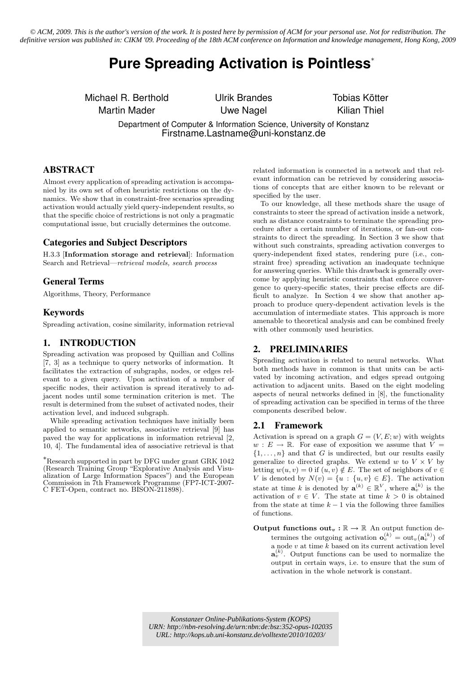*© ACM, 2009. This is the author's version of the work. It is posted here by permission of ACM for your personal use. Not for redistribution. The definitive version was published in: [CIKM '09. Proceeding of the 18th ACM conference on Information and knowledge management, Hong Kong, 2009](http://portal.acm.org/toc.cfm?id=1645953&type=proceeding&coll=ACM&dl=ACM&idx=SERIES772&part=series&WantType=Proceedings&title=CIKM&CFID=78303484&CFTOKEN=48994655)*

# **Pure Spreading Activation is Pointless**<sup>∗</sup>

Michael R. Berthold Ulrik Brandes Tobias Kötter

Martin Mader **Nagel** Uwe Nagel **Kilian Thiel** 

Department of Computer & Information Science, University of Konstanz Firstname.Lastname@uni-konstanz.de

# ABSTRACT

Almost every application of spreading activation is accompanied by its own set of often heuristic restrictions on the dynamics. We show that in constraint-free scenarios spreading activation would actually yield query-independent results, so that the specific choice of restrictions is not only a pragmatic computational issue, but crucially determines the outcome.

# Categories and Subject Descriptors

H.3.3 [Information storage and retrieval]: Information Search and Retrieval—retrieval models, search process

## General Terms

Algorithms, Theory, Performance

# Keywords

Spreading activation, cosine similarity, information retrieval

# 1. INTRODUCTION

Spreading activation was proposed by Quillian and Collins [7, 3] as a technique to query networks of information. It facilitates the extraction of subgraphs, nodes, or edges relevant to a given query. Upon activation of a number of specific nodes, their activation is spread iteratively to adjacent nodes until some termination criterion is met. The result is determined from the subset of activated nodes, their activation level, and induced subgraph.

While spreading activation techniques have initially been applied to semantic networks, associative retrieval [9] has paved the way for applications in information retrieval [2, 10, 4]. The fundamental idea of associative retrieval is that

<sup>∗</sup>Research supported in part by DFG under grant GRK 1042 (Research Training Group "Explorative Analysis and Visualization of Large Information Spaces") and the European Commission in 7th Framework Programme (FP7-ICT-2007- C FET-Open, contract no. BISON-211898).

related information is connected in a network and that relevant information can be retrieved by considering associations of concepts that are either known to be relevant or specified by the user.

To our knowledge, all these methods share the usage of constraints to steer the spread of activation inside a network, such as distance constraints to terminate the spreading procedure after a certain number of iterations, or fan-out constraints to direct the spreading. In Section 3 we show that without such constraints, spreading activation converges to query-independent fixed states, rendering pure (i.e., constraint free) spreading activation an inadequate technique for answering queries. While this drawback is generally overcome by applying heuristic constraints that enforce convergence to query-specific states, their precise effects are difficult to analyze. In Section 4 we show that another approach to produce query-dependent activation levels is the accumulation of intermediate states. This approach is more amenable to theoretical analysis and can be combined freely with other commonly used heuristics.

# 2. PRELIMINARIES

Spreading activation is related to neural networks. What both methods have in common is that units can be activated by incoming activation, and edges spread outgoing activation to adjacent units. Based on the eight modeling aspects of neural networks defined in [8], the functionality of spreading activation can be specified in terms of the three components described below.

# 2.1 Framework

Activation is spread on a graph  $G = (V, E; w)$  with weights  $w: E \to \mathbb{R}$ . For ease of exposition we assume that  $V =$  $\{1, \ldots, n\}$  and that G is undirected, but our results easily generalize to directed graphs. We extend  $w$  to  $V \times V$  by letting  $w(u, v) = 0$  if  $(u, v) \notin E$ . The set of neighbors of  $v \in$ V is denoted by  $N(v) = \{u : \{u, v\} \in E\}$ . The activation state at time k is denoted by  $\mathbf{a}^{(k)} \in \mathbb{R}^V$ , where  $\mathbf{a}^{(k)}_v$  is the activation of  $v \in V$ . The state at time  $k > 0$  is obtained from the state at time  $k - 1$  via the following three families of functions.

Output functions out<sub>v</sub>:  $\mathbb{R} \to \mathbb{R}$  An output function determines the outgoing activation  $\mathbf{o}_v^{(k)} = \text{out}_v(\mathbf{a}_v^{(k)})$  of a node  $v$  at time  $\vec{k}$  based on its current activation level  $\mathbf{a}_{v}^{(k)}$ . Output functions can be used to normalize the output in certain ways, i.e. to ensure that the sum of activation in the whole network is constant.

*Konstanzer Online-Publikations-System (KOPS) URN: <http://nbn-resolving.de/urn:nbn:de:bsz:352-opus-102035> URL: <http://kops.ub.uni-konstanz.de/volltexte/2010/10203/>*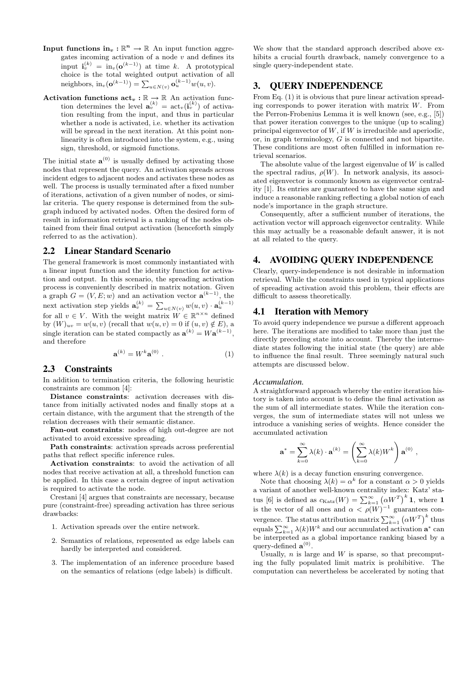- Input functions  $\text{in}_v : \mathbb{R}^n \to \mathbb{R}$  An input function aggregates incoming activation of a node  $v$  and defines its input  $\mathbf{i}_v^{(k)} = \text{in}_v(\mathbf{o}^{(k-1)})$  at time k. A prototypical choice is the total weighted output activation of all neighbors, in<sub>v</sub> $(\mathbf{o}^{(k-1)}) = \sum_{u \in N(v)} \mathbf{o}_u^{(k-1)} w(u, v)$ .
- Activation functions  $\text{act}_v : \mathbb{R} \to \mathbb{R}$  An activation function determines the level  $\mathbf{a}_v^{(k)} = \text{act}_v(\mathbf{i}_v^{(k)})$  of activation resulting from the input, and thus in particular whether a node is activated, i.e. whether its activation will be spread in the next iteration. At this point nonlinearity is often introduced into the system, e.g., using sign, threshold, or sigmoid functions.

The initial state  $\mathbf{a}^{(0)}$  is usually defined by activating those nodes that represent the query. An activation spreads across incident edges to adjacent nodes and activates these nodes as well. The process is usually terminated after a fixed number of iterations, activation of a given number of nodes, or similar criteria. The query response is determined from the subgraph induced by activated nodes. Often the desired form of result in information retrieval is a ranking of the nodes obtained from their final output activation (henceforth simply referred to as the activation).

#### 2.2 Linear Standard Scenario

The general framework is most commonly instantiated with a linear input function and the identity function for activation and output. In this scenario, the spreading activation process is conveniently described in matrix notation. Given a graph  $G = (V, E; w)$  and an activation vector  $\mathbf{a}^{(k-1)}$ , the next activation step yields  $\mathbf{a}_{v}^{(k)} = \sum_{u \in N(v)} w(u, v) \cdot \mathbf{a}_{u}^{(k-1)}$ for all  $v \in V$ . With the weight matrix  $W \in \mathbb{R}^{n \times n}$  defined by  $(W)_{uv} = w(u, v)$  (recall that  $w(u, v) = 0$  if  $(u, v) \notin E$ ), a single iteration can be stated compactly as  $\mathbf{a}^{(k)} = W \mathbf{a}^{(k-1)}$ , and therefore

$$
\mathbf{a}^{(k)} = W^k \mathbf{a}^{(0)} \ . \tag{1}
$$

#### 2.3 Constraints

In addition to termination criteria, the following heuristic constraints are common [4]:

Distance constraints: activation decreases with distance from initially activated nodes and finally stops at a certain distance, with the argument that the strength of the relation decreases with their semantic distance.

Fan-out constraints: nodes of high out-degree are not activated to avoid excessive spreading.

Path constraints: activation spreads across preferential paths that reflect specific inference rules.

Activation constraints: to avoid the activation of all nodes that receive activation at all, a threshold function can be applied. In this case a certain degree of input activation is required to activate the node.

Crestani [4] argues that constraints are necessary, because pure (constraint-free) spreading activation has three serious drawbacks:

- 1. Activation spreads over the entire network.
- 2. Semantics of relations, represented as edge labels can hardly be interpreted and considered.
- 3. The implementation of an inference procedure based on the semantics of relations (edge labels) is difficult.

We show that the standard approach described above exhibits a crucial fourth drawback, namely convergence to a single query-independent state.

# 3. QUERY INDEPENDENCE

From Eq. (1) it is obvious that pure linear activation spreading corresponds to power iteration with matrix W. From the Perron-Frobenius Lemma it is well known (see, e.g., [5]) that power iteration converges to the unique (up to scaling) principal eigenvector of  $W$ , if  $W$  is irreducible and aperiodic. or, in graph terminology, G is connected and not bipartite. These conditions are most often fulfilled in information retrieval scenarios.

The absolute value of the largest eigenvalue of  $W$  is called the spectral radius,  $\rho(W)$ . In network analysis, its associated eigenvector is commonly known as eigenvector centrality [1]. Its entries are guaranteed to have the same sign and induce a reasonable ranking reflecting a global notion of each node's importance in the graph structure.

Consequently, after a sufficient number of iterations, the activation vector will approach eigenvector centrality. While this may actually be a reasonable default answer, it is not at all related to the query.

# 4. AVOIDING QUERY INDEPENDENCE

Clearly, query-independence is not desirable in information retrieval. While the constraints used in typical applications of spreading activation avoid this problem, their effects are difficult to assess theoretically.

## 4.1 Iteration with Memory

To avoid query independence we pursue a different approach here. The iterations are modified to take more than just the directly preceding state into account. Thereby the intermediate states following the initial state (the query) are able to influence the final result. Three seemingly natural such attempts are discussed below.

#### *Accumulation.*

A straightforward approach whereby the entire iteration history is taken into account is to define the final activation as the sum of all intermediate states. While the iteration converges, the sum of intermediate states will not unless we introduce a vanishing series of weights. Hence consider the accumulated activation

$$
\mathbf{a}^* = \sum_{k=0}^{\infty} \lambda(k) \cdot \mathbf{a}^{(k)} = \left(\sum_{k=0}^{\infty} \lambda(k) W^k\right) \mathbf{a}^{(0)},
$$

where  $\lambda(k)$  is a decay function ensuring convergence.

Note that choosing  $\lambda(k) = \alpha^k$  for a constant  $\alpha > 0$  yields a variant of another well-known centrality index: Katz' status [6] is defined as  $c_{\text{Katz}}(W) = \sum_{k=1}^{\infty} (\alpha W^T)^k 1$ , where 1 is the vector of all ones and  $\alpha < \rho(W)^{-1}$  guarantees convergence. The status attribution matrix  $\sum_{k=1}^{\infty} (\alpha W^T)^k$  thus equals  $\sum_{k=1}^{\infty} \lambda(k)W^k$  and our accumulated activation  $\mathbf{a}^*$  can be interpreted as a global importance ranking biased by a query-defined  $\mathbf{a}^{(0)}$ .

Usually,  $n$  is large and  $W$  is sparse, so that precomputing the fully populated limit matrix is prohibitive. The computation can nevertheless be accelerated by noting that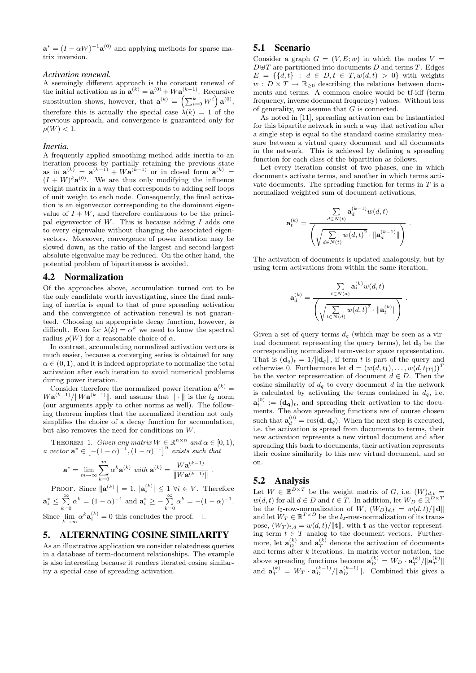$\mathbf{a}^* = (I - \alpha W)^{-1} \mathbf{a}^{(0)}$  and applying methods for sparse matrix inversion.

# *Activation renewal.*

A seemingly different approach is the constant renewal of the initial activation as in  $\mathbf{a}^{(k)} = \mathbf{a}^{(0)} + W \mathbf{a}^{(k-1)}$ . Recursive substitution shows, however, that  $\mathbf{a}^{(k)} = \left(\sum_{i=0}^{k} W^{i}\right) \mathbf{a}^{(0)}$ , therefore this is actually the special case  $\lambda(k) = 1$  of the previous approach, and convergence is guaranteed only for  $\rho(W) < 1.$ 

#### *Inertia.*

A frequently applied smoothing method adds inertia to an iteration process by partially retaining the previous state as in  $\mathbf{a}^{(k)} = \mathbf{a}^{(k-1)} + W \mathbf{a}^{(k-1)}$  or in closed form  $\mathbf{a}^{(k)} =$  $(I+W)^{k}\mathbf{a}^{(0)}$ . We are thus only modifying the influence weight matrix in a way that corresponds to adding self loops of unit weight to each node. Consequently, the final activation is an eigenvector corresponding to the dominant eigenvalue of  $I + W$ , and therefore continuous to be the principal eigenvector of  $W$ . This is because adding  $I$  adds one to every eigenvalue without changing the associated eigenvectors. Moreover, convergence of power iteration may be slowed down, as the ratio of the largest and second-largest absolute eigenvalue may be reduced. On the other hand, the potential problem of bipartiteness is avoided.

#### 4.2 Normalization

Of the approaches above, accumulation turned out to be the only candidate worth investigating, since the final ranking of inertia is equal to that of pure spreading activation and the convergence of activation renewal is not guaranteed. Choosing an appropriate decay function, however, is difficult. Even for  $\lambda(k) = \alpha^k$  we need to know the spectral radius  $\rho(W)$  for a reasonable choice of  $\alpha$ .

In contrast, accumulating normalized activation vectors is much easier, because a converging series is obtained for any  $\alpha \in (0, 1)$ , and it is indeed appropriate to normalize the total activation after each iteration to avoid numerical problems during power iteration.

Consider therefore the normalized power iteration  $\mathbf{a}^{(k)} =$  $W{\bf a}^{(k-1)}/\|W{\bf a}^{(k-1)}\|$ , and assume that  $\|\cdot\|$  is the  $l_2$  norm (our arguments apply to other norms as well). The following theorem implies that the normalized iteration not only simplifies the choice of a decay function for accumulation, but also removes the need for conditions on W.

THEOREM 1. Given any matrix  $W \in \mathbb{R}^{n \times n}$  and  $\alpha \in [0, 1)$ , a vector  $\mathbf{a}^* \in [-(1-\alpha)^{-1}, (1-\alpha)^{-1}]^n$  exists such that

$$
\mathbf{a}^* = \lim_{m \rightarrow \infty} \sum_{k=0}^m \alpha^k \mathbf{a}^{(k)} \text{ with } \mathbf{a}^{(k)} = \frac{W \mathbf{a}^{(k-1)}}{\|W \mathbf{a}^{(k-1)}\|}
$$

PROOF. Since  $\|\mathbf{a}^{(k)}\| = 1$ ,  $|\mathbf{a}_i^{(k)}| \leq 1 \ \forall i \in V$ . Therefore  $\mathbf{a}_i^* \le \sum_{k=0}^{\infty} \alpha^k = (1 - \alpha)^{-1}$  and  $\mathbf{a}_i^* \ge -\sum_{k=0}^{\infty} \alpha^k = -(1 - \alpha)^{-1}$ . Since  $\lim_{k \to \infty} \alpha^k \mathbf{a}_i^{(k)} = 0$  this concludes the proof.

## 5. ALTERNATING COSINE SIMILARITY

As an illustrative application we consider relatedness queries in a database of term-document relationships. The example is also interesting because it renders iterated cosine similarity a special case of spreading activation.

#### 5.1 Scenario

Consider a graph  $G = (V, E; w)$  in which the nodes  $V =$  $D \oplus T$  are partitioned into documents D and terms T. Edges  $E = \{\{d, t\} : d \in D, t \in T, w(d, t) > 0\}$  with weights  $w: D \times T \to \mathbb{R}_{\geq 0}$  describing the relations between documents and terms. A common choice would be tf-idf (term frequency, inverse document frequency) values. Without loss of generality, we assume that G is connected.

As noted in [11], spreading activation can be instantiated for this bipartite network in such a way that activation after a single step is equal to the standard cosine similarity measure between a virtual query document and all documents in the network. This is achieved by defining a spreading function for each class of the bipartition as follows.

Let every iteration consist of two phases, one in which documents activate terms, and another in which terms activate documents. The spreading function for terms in  $T$  is a normalized weighted sum of document activations,

$$
\mathbf{a}_t^{(k)} = \frac{\sum\limits_{d \in N(t)} \mathbf{a}_d^{(k-1)} w(d,t)}{\left(\sqrt{\sum\limits_{d \in N(t)} w(d,t)^2} \cdot \|\mathbf{a}_d^{(k-1)}\|\right)}.
$$

The activation of documents is updated analogously, but by using term activations from within the same iteration,

$$
\mathbf{a}_{d}^{(k)} = \frac{\sum\limits_{t \in N(d)} \mathbf{a}_{t}^{(k)} w(d, t)}{\left(\sqrt{\sum\limits_{t \in N(d)} w(d, t)^{2}} \cdot \|\mathbf{a}_{t}^{(k)}\|\right)}.
$$

Given a set of query terms  $d_q$  (which may be seen as a virtual document representing the query terms), let  $\mathbf{d}_q$  be the corresponding normalized term-vector space representation. That is  $(\mathbf{d}_q)_t = 1/||\mathbf{d}_q||$ , if term t is part of the query and otherwise 0. Furthermore let  $\mathbf{d} = (w(d, t_1), \dots, w(d, t_{|T|}))^T$ be the vector representation of document  $d \in D$ . Then the cosine similarity of  $d_q$  to every document d in the network is calculated by activating the terms contained in  $d_q$ , i.e.  $\mathbf{a}_t^{(0)} := (\mathbf{d_q})_t$ , and spreading their activation to the documents. The above spreading functions are of course chosen such that  $\mathbf{a}_d^{(0)} = \cos(\mathbf{d}, \mathbf{d}_q)$ . When the next step is executed, i.e. the activation is spread from documents to terms, their new activation represents a new virtual document and after spreading this back to documents, their activation represents their cosine similarity to this new virtual document, and so on.

## 5.2 Analysis

.

Let  $W \in \mathbb{R}^{D \times T}$  be the weight matrix of G, i.e.  $(W)_{d,t} =$  $w(d, t)$  for all  $d \in D$  and  $t \in T$ . In addition, let  $W_D \in \mathbb{R}^{D \times T}$ be the *l*<sub>2</sub>-row-normalization of *W*,  $(W_D)_{d,t} = w(d,t)/\|\mathbf{d}\|$ and let  $W_T \in \mathbb{R}^{T \times D}$  be the *l*<sub>2</sub>-row-normalization of its transpose,  $(W_T)_{t,d} = w(d, t)/\|\mathbf{t}\|$ , with t as the vector representing term  $t \in T$  analog to the document vectors. Furthermore, let  $\mathbf{a}_{D}^{(k)}$  and  $\mathbf{a}_{T}^{(k)}$  denote the activation of documents and terms after  $k$  iterations. In matrix-vector notation, the above spreading functions become  $\mathbf{a}_{D}^{(k)} = W_D \cdot \mathbf{a}_{T}^{(k)}/\|\mathbf{a}_{T}^{(k)}\|$ and  $\mathbf{a}_T^{(k)} = W_T \cdot \mathbf{a}_D^{(k-1)} / ||\mathbf{a}_D^{(k-1)}||$ . Combined this gives a